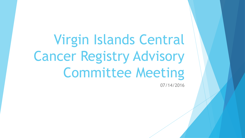Virgin Islands Central Cancer Registry Advisory Committee Meeting

07/14/2016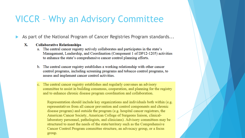### **VICCR - Why an Advisory Committee**

- As part of the National Program of Cancer Registries Program standards...
	- $\mathbf{X}$ . **Collaborative Relationships** 
		- a. The central cancer registry actively collaborates and participates in the state's Management, Leadership, and Coordination (Component 1 of DP12-1205) activities to enhance the state's comprehensive cancer control planning efforts.
		- b. The central cancer registry establishes a working relationship with other cancer control programs, including screening programs and tobacco control programs, to assess and implement cancer control activities.
		- c. The central cancer registry establishes and regularly convenes an advisory committee to assist in building consensus, cooperation, and planning for the registry and to enhance chronic disease program coordination and collaboration.

Representation should include key organizations and individuals both within (e.g. representatives from all cancer prevention and control components and chronic disease program) and outside the program (e.g. hospital cancer registrars, the American Cancer Society, American College of Surgeons liaison, clinicallaboratory personnel, pathologists, and clinicians). Advisory committees may be structured to meet the needs of the state/territory such as the Comprehensive Cancer Control Program committee structure, an advocacy group, or a focus group.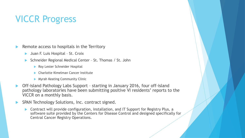# VICCR Progress

Remote access to hospitals in the Territory

- Juan F. Luis Hospital St. Croix
- Schneider Regional Medical Center St. Thomas / St. John
	- Roy Lester Schneider Hospital
	- Charlotte Kimelman Cancer Institute
	- **Myrah Keating Community Clinic**
- Off-island Pathology Labs Support starting in January 2016, four off-island pathology laboratories have been submitting positive VI residents' reports to the VICCR on a monthly basis.
- SPAN Technology Solutions, Inc. contract signed.
	- ▶ Contract will provide configuration, installation, and IT Support for Registry Plus, a software suite provided by the Centers for Disease Control and designed specifically for Central Cancer Registry Operations.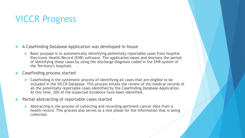# VICCR Progress

- A Casefinding Database Application was developed in-house
	- Basic purpose is to automatically identifying potentially reportable cases from hospital Electronic Health Record (EHR) software. The application eases and shortens the period of identifying these cases by using the discharge diagnosis coded in the EHR system of the Territory's hospitals.

### Casefinding process started

- Casefinding is the systematic process of identifying all cases that are eligible to be included in the VICCR Database. This process entails the review of the medical records of all the potentially reportable cases identified by the Casefinding Database Application. At this time, 20% of the expected incidence have been identified.
- Partial abstracting of reportable cases started
	- Abstracting is the process of collecting and recording pertinent cancer data from a health record. This process also serves as a test phase for the information that is being collected.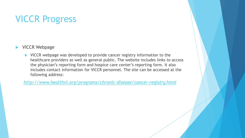# VICCR Progress

- **NICCR Webpage** 
	- ▶ VICCR webpage was developed to provide cancer registry information to the healthcare providers as well as general public. The website includes links to access the physician's reporting form and hospice care center's reporting form. It also includes contact information for VICCR personnel. The site can be accessed at the following address:

*<http://www.healthvi.org/programs/chronic-disease/cancer-registry.html>*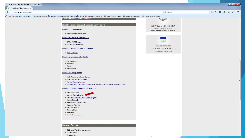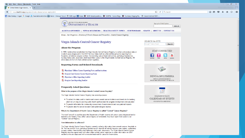

Registry also has agreements with other state central cancer registries to obtain information on USVI residents who are diagnosed with or receive treatment for cancer in these states.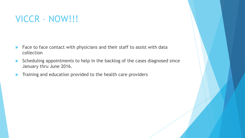# VICCR – NOW!!!

- Face to face contact with physicians and their staff to assist with data collection
- Scheduling appointments to help in the backlog of the cases diagnosed since January thru June 2016.
- Training and education provided to the health care providers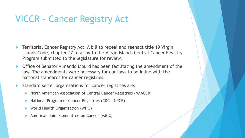# VICCR – Cancer Registry Act

- Territorial Cancer Registry Act: A bill to repeal and reenact title 19 Virgin Islands Code, chapter 47 relating to the Virgin Islands Central Cancer Registry Program submitted to the legislature for review.
- Office of Senator Almando Liburd has been facilitating the amendment of the law. The amendments were necessary for our laws to be inline with the national standards for cancer registries.
- Standard setter organizations for cancer registries are:
	- North American Association of Central Cancer Registries (NAACCR)
	- National Program of Cancer Registries (CDC NPCR)
	- World Health Organization (WHO)
	- American Joint Committee on Cancer (AJCC)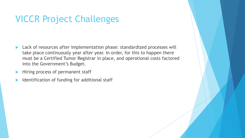# VICCR Project Challenges

- **Lack of resources after implementation phase: standardized processes will** take place continuously year after year. In order, for this to happen there must be a Certified Tumor Registrar in place, and operational costs factored into the Government's Budget.
- Hiring process of permanent staff
- Identification of funding for additional staff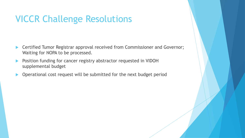## VICCR Challenge Resolutions

- ▶ Certified Tumor Registrar approval received from Commissioner and Governor; Waiting for NOPA to be processed.
- **Position funding for cancer registry abstractor requested in VIDOH** supplemental budget
- Operational cost request will be submitted for the next budget period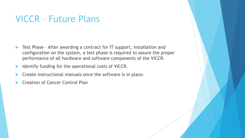### VICCR – Future Plans

- ▶ Test Phase After awarding a contract for IT support, installation and configuration on the system, a test phase is required to assure the proper performance of all hardware and software components of the VICCR.
- Identify funding for the operational costs of VICCR.
- Create instructional manuals once the software is in place.
- Creation of Cancer Control Plan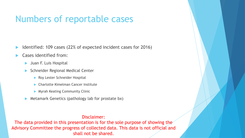### Numbers of reportable cases

- Identified: 109 cases (22% of expected incident cases for 2016)
- Cases identified from:
	- **Juan F. Luis Hospital**
	- Schneider Regional Medical Center
		- Roy Lester Schneider Hospital
		- **Charlotte Kimelman Cancer Institute**
		- **Myrah Keating Community Clinic**
	- Metamark Genetics (pathology lab for prostate bx)

#### Disclaimer:

The data provided in this presentation is for the sole purpose of showing the Advisory Committee the progress of collected data. This data is not official and shall not be shared.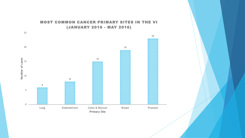#### MOST COMMON CANCER PRIMARY SITES IN THE VI (JANUARY 2016 - MAY 2016)

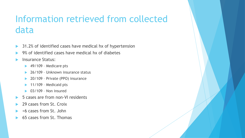# Information retrieved from collected data

- ▶ 31.2% of identified cases have medical hx of hypertension
- 9% of identified cases have medical hx of diabetes
- Insurance Status:
	- $\blacktriangleright$  49/109 Medicare pts
	- ▶ 26/109 Unknown insurance status
	- ▶ 20/109 Private (PPO) insurance
	- $\blacktriangleright$  11/109 Medicaid pts
	- $\triangleright$  03/109 Non insured
- ▶ 5 cases are from non-VI residents
- 29 cases from St. Croix
- <6 cases from St. John
- 65 cases from St. Thomas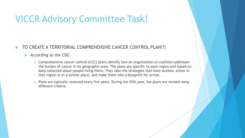# VICCR Advisory Committee Task!

### TO CREATE A TERRITORIAL COMPREHENSIVE CANCER CONTROL PLAN!!!

#### According to the CDC:

- Comprehensive cancer control (CCC) plans identify how an organization or coalition addresses the burden of cancer in its geographic area. The plans are specific to each region and based on data collected about people living there. They take the strategies that have worked, either in that region or in a similar place, and make them into a blueprint for action.
- $\bullet$  Plans are typically renewed every five years. During the fifth year, the plans are revised using different criteria.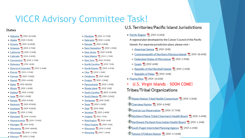# **VICCR Advisory Committee Task!**

#### **States**

- Alabama A [PDF-10.5MB]
- Alaska A [PDF-5.9MB]
- Arizona A [PDF-10.8MB]
- Arkansas A [PDF-5.7MB]
- California A [PDF-2.1MB]
- Colorado A [PDF-2.8MB]
- Connecticut <sup>[2]</sup> [PDF-3.7MB]
- Delaware A [PDF-4MB]
- District of Columbia [A] [PDF-3.4MB]
- **Florida** <sup>[2]</sup> [PDF-5.7MB]
- Georgia A [PDF-718KB]
- Hawaii A [PDF-6.4MB]
- · Idaho A [PDF-883KB]
- Illinois A [PDF-1.4MB]
- Indiana A [PDF-3.5MB]
- $\bullet$  lowa  $\overline{R}$  [PDF-1.9MB]
- Kansas A [PDF-8.9MB]
- Kentucky A [PDF-993KB]
- Louisiana A [PDF-910KB]
- Maine A [PDF-2.7MB]
- Maryland A [PDF-916KB]
- Massachusetts A [PDF-755KB]
- Michigan A [PDF-3MB]
- Minnesota A [PDF-888KB]
- Mississippi A [PDF-1.3MB]
- Missouri A [PDF-3.7MB]
- Montana A [PDF-11.7MB]
- Nebraska A [PDF-1.6MB]
- Nevada A [PDF-4.2MB]
- New Hampshire A [PDF-1.9MB]
- New Jersey [A] [PDF-8.3MB]
- New Mexico A [PDF-2.7MB]
- New York [4] [PDF-995KB]
- North Carolina A [PDF-7MB]
- North Dakota A [PDF-2.4MB]
- Ohio A [PDF-1.3MB]
- Oklahoma A [PDF-6MB]
- Oregon A [PDF-1.5MB]
- Pennsylvania A [PDF-1.9MB]
- Rhode Island A [PDF-1MB]
- South Carolina [C] [PDF-15.8MB]
- South Dakota A [PDF-513KB]
- Tennessee A [PDF-2MB]
- $\bullet$  Texas  $\overline{V}$  [PDF-2.3MB]
- Utah A [PDF-3MB]
- Vermont A [PDF-2.4MB]
- Virginia A [PDF-7MB]
- Washington A [PDF-4MB]
- West Virginia A [PDF-6MB]
- Wisconsin A [PDF-2.4MB]
- Wyoming A [PDF-1.4MB]

#### U.S. Territories/Pacific Island Jurisdictions

• Pacific Region A [PDF-613KB]

A regional plan developed by the Cancer Council of the Pacific Islands. For separate jurisdiction plans, please visit-

- o American Samoa A [PDF-2MB]
- o Commonwealth of Northern Mariana Islands [4] [PDF-38.4MB]
- o Federated States of Micronesia [A] [PDF-2.9MB]
- o Guam 人 [PDF-6MB]
- o Republic of the Marshall Islands [A] [PDF-2.1MB]
- o Republic of Palau A [PDF-1MB]
- Puerto Rico A [PDF-14.6MB]
- U.S. Virgin Islands SOON COME! **Tribes/Tribal Organizations**
- Alaska Native Tribal Health Consortium [4] [PDF-3.3MB] Cherokee Nation A [PDF-4.5MB] **V** Fond du Lac Reservation TA [PDF-27.7MB] Northern Plains Tribal Chairmen's Health Board [A] [PDF-5.4MB] Northwest Portland Area Indian Health Board [A] [PDF-1.1MB] South Puget Intertribal Planning Agency [A] [PDF-6.1MB] Tohono O'Odham Nation A [PDF-17.6MB]